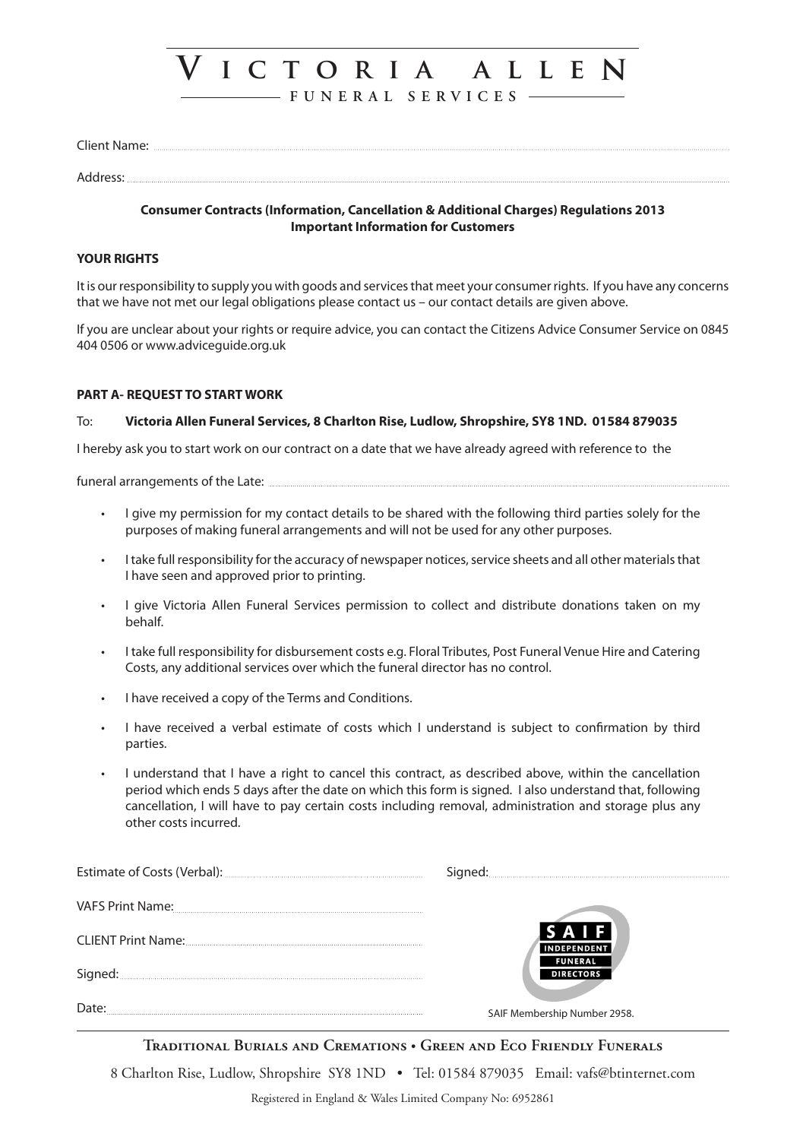# **V i c t o r i a a l l e n**

**F U N E R A L S E R V I C E S**

| $- \cdot$<br>'۱۱۵ |  |
|-------------------|--|
|-------------------|--|

## Address:

## **Consumer Contracts (Information, Cancellation & Additional Charges) Regulations 2013 Important Information for Customers**

# **YOUR RIGHTS**

It is our responsibility to supply you with goods and services that meet your consumer rights. If you have any concerns that we have not met our legal obligations please contact us – our contact details are given above.

If you are unclear about your rights or require advice, you can contact the Citizens Advice Consumer Service on 0845 404 0506 or www.adviceguide.org.uk

# **PART A- REQUEST TO START WORK**

# To: **Victoria Allen Funeral Services, 8 Charlton Rise, Ludlow, Shropshire, SY8 1ND. 01584 879035**

I hereby ask you to start work on our contract on a date that we have already agreed with reference to the

funeral arrangements of the Late:

- I give my permission for my contact details to be shared with the following third parties solely for the purposes of making funeral arrangements and will not be used for any other purposes.
- I take full responsibility for the accuracy of newspaper notices, service sheets and all other materials that I have seen and approved prior to printing.
- I give Victoria Allen Funeral Services permission to collect and distribute donations taken on my behalf.
- I take full responsibility for disbursement costs e.g. Floral Tributes, Post Funeral Venue Hire and Catering Costs, any additional services over which the funeral director has no control.
- I have received a copy of the Terms and Conditions.
- I have received a verbal estimate of costs which I understand is subject to confirmation by third parties.
- I understand that I have a right to cancel this contract, as described above, within the cancellation period which ends 5 days after the date on which this form is signed. I also understand that, following cancellation, I will have to pay certain costs including removal, administration and storage plus any other costs incurred.

| VAFS Print Name: | SAIF<br><b>FUNERAL</b><br><b>DIRECTORS</b> |
|------------------|--------------------------------------------|
|                  |                                            |
| Signed:          |                                            |
|                  | SAIF Membership Number 2958.               |

**Traditional Burials and Cremations • Green and Eco Friendly Funerals**

8 Charlton Rise, Ludlow, Shropshire SY8 1ND · Tel: 01584 879035 Email: vafs@btinternet.com